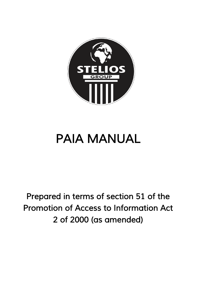

# **PAIA MANUAL**

*Prepared in terms of section 51 of the Promotion of Access to Information Act 2 of 2000 (as amended)*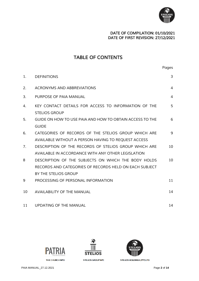

### *DATE OF COMPILATION: 01/10/2021 DATE OF FIRST REVISION: 27/12/2021*

# *TABLE OF CONTENTS*

|         |                                                                              | Pages          |
|---------|------------------------------------------------------------------------------|----------------|
| $1_{-}$ | <b>DEFINITIONS</b>                                                           | 3              |
| 2.      | <b>ACRONYMS AND ABBREVIATIONS</b>                                            | $\overline{4}$ |
| 3.      | PURPOSE OF PAIA MANUAL                                                       | 4              |
| 4.      | KEY CONTACT DETAILS FOR ACCESS TO INFORMATION OF THE<br><b>STELIOS GROUP</b> | 5              |
| 5.      | GUIDE ON HOW TO USE PAIA AND HOW TO OBTAIN ACCESS TO THE<br><b>GUIDE</b>     | 6              |
| 6.      | CATEGORIES OF RECORDS OF THE STELIOS GROUP WHICH ARE                         | 9              |
|         | AVAILABLE WITHOUT A PERSON HAVING TO REQUEST ACCESS                          |                |
| 7.      | DESCRIPTION OF THE RECORDS OF STELIOS GROUP WHICH ARE                        | 10             |
|         | AVAILABLE IN ACCORDANCE WITH ANY OTHER LEGISLATION                           |                |
| 8       | DESCRIPTION OF THE SUBJECTS ON WHICH THE BODY HOLDS                          | 10             |
|         | RECORDS AND CATEGORIES OF RECORDS HELD ON EACH SUBJECT                       |                |
|         | BY THE STELIOS GROUP                                                         |                |
| 9       | PROCESSING OF PERSONAL INFORMATION                                           | 11             |
| 10      | <b>AVAILABILITY OF THE MANUAL</b>                                            | 14             |
| 11      | UPDATING OF THE MANUAL                                                       | 14             |





STELIOS GROUP NPC

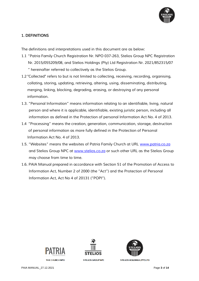

## *1. DEFINITIONS*

*The definitions and interpretations used in this document are as below:*

- *1.1 "Patria Family Church Registration Nr. NPO 037-263, Stelios Group NPC Registration Nr. 2015/055209/08, and Stelios Holdings (Pty) Ltd Registration Nr. 2021/852315/07 " hereinafter referred to collectively as the Stelios Group.*
- *1.2 "Collected" refers to but is not limited to collecting, receiving, recording, organising, collating, storing, updating, retrieving, altering, using, disseminating, distributing, merging, linking, blocking, degrading, erasing, or destroying of any personal information.*
- *1.3. "Personal Information" means information relating to an identifiable, living, natural person and where it is applicable, identifiable, existing juristic person, including all information as defined in the Protection of personal Information Act No. 4 of 2013.*
- *1.4 "Processing" means the creation, generation, communication, storage, destruction of personal information as more fully defined in the Protection of Personal Information Act No. 4 of 2013.*
- *1.5. "Websites" means the websites of Patria Family Church at URL [www.patria.co.za](http://www.patria.co.za/) and Stelios Group NPC at [www.stelios.co.za](http://www.stelios.co.za/) or such other URL as the Stelios Group may choose from time to time.*
- *1.6. PAIA Manual prepared in accordance with Section 51 of the Promotion of Access to Information Act, Number 2 of 2000 (the "Act") and the Protection of Personal Information Act, Act No 4 of 20131 ("POPI").*







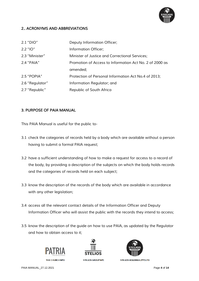

#### *2.. ACRONYMS AND ABBREVIATIONS*

| 2.1 "DIO"       | Deputy Information Officer;                             |
|-----------------|---------------------------------------------------------|
| $2.2$ "IO"      | Information Officer;                                    |
| 2.3 "Minister"  | Minister of Justice and Correctional Services;          |
| 2.4 "PAIA"      | Promotion of Access to Information Act No. 2 of 2000 as |
|                 | amended;                                                |
| 2.5 "POPIA"     | Protection of Personal Information Act No.4 of 2013;    |
| 2.6 "Regulator" | Information Regulator; and                              |
| 2.7 "Republic"  | Republic of South Africa                                |

#### *3. PURPOSE OF PAIA MANUAL*

*This PAIA Manual is useful for the public to-*

- *3.1 check the categories of records held by a body which are available without a person having to submit a formal PAIA request;*
- *3.2 have a sufficient understanding of how to make a request for access to a record of the body, by providing a description of the subjects on which the body holds records and the categories of records held on each subject;*
- *3.3 know the description of the records of the body which are available in accordance with any other legislation;*
- *3.4 access all the relevant contact details of the Information Officer and Deputy Information Officer who will assist the public with the records they intend to access;*
- *3.5 know the description of the guide on how to use PAIA, as updated by the Regulator and how to obtain access to it;*



THE CHURCH NPO





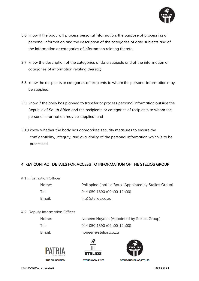

- *3.6 know if the body will process personal information, the purpose of processing of personal information and the description of the categories of data subjects and of the information or categories of information relating thereto;*
- *3.7 know the description of the categories of data subjects and of the information or categories of information relating thereto;*
- *3.8 know the recipients or categories of recipients to whom the personal information may be supplied;*
- *3.9 know if the body has planned to transfer or process personal information outside the Republic of South Africa and the recipients or categories of recipients to whom the personal information may be supplied; and*
- *3.10 know whether the body has appropriate security measures to ensure the confidentiality, integrity, and availability of the personal information which is to be processed.*

## *4. KEY CONTACT DETAILS FOR ACCESS TO INFORMATION OF THE STELIOS GROUP*

*4.1 Information Officer*

| Name:  | Philipping (Ing) Le Roux (Appointed by Stelios Group) |
|--------|-------------------------------------------------------|
| Tel:   | 044 050 1390 (09h00-12h00)                            |
| Email: | ina@stelios.co.za                                     |

#### *4.2 Deputy Information Officer*

| Name:  | Noneen Hayden (Appointed by Stelios Group) |
|--------|--------------------------------------------|
| Tel:   | 044 050 1390 (09h00-12h00)                 |
| Email: | noneen@stelios.co.za                       |





STELIOS GROUP NPC



STELIOS HOLDINGS (PTY) LTD

PAIA MANUAL\_27.12.2021 Page **5** of **14**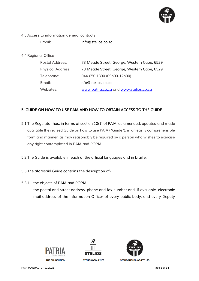

*4.3 Access to information general contacts*

*Email: info@stelios.co.za*

*4.4 Regional Office* 

| Postal Address:          | 73 Meade Street, George, Western Cape, 6529 |
|--------------------------|---------------------------------------------|
| <b>Physical Address:</b> | 73 Meade Street, George, Western Cape, 6529 |
| Telephone:               | 044 050 1390 (09h00-12h00)                  |
| Email:                   | info@stelios.co.za                          |
| Websites:                | www.patria.co.za and www.stelios.co.za      |

### *5. GUIDE ON HOW TO USE PAIA AND HOW TO OBTAIN ACCESS TO THE GUIDE*

- *5.1 The Regulator has, in terms of section 10(1) of PAIA, as amended, updated and made available the revised Guide on how to use PAIA ("Guide"), in an easily comprehensible form and manner, as may reasonably be required by a person who wishes to exercise any right contemplated in PAIA and POPIA.*
- *5.2 The Guide is available in each of the official languages and in braille.*
- *5.3 The aforesaid Guide contains the description of-*
- *5.3.1 the objects of PAIA and POPIA; the postal and street address, phone and fax number and, if available, electronic*

*mail address of the Information Officer of every public body, and every Deputy* 







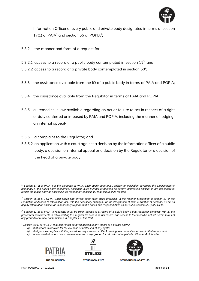

*Information Officer of every public and private body designated in terms of section 17(1) of PAIA<sup>1</sup> and section 56 of POPIA<sup>2</sup> ;*

- *5.3.2 the manner and form of a request for-*
- *5.3.2.1 access to a record of a public body contemplated in section 11<sup>3</sup> ; and*
- *5.3.2.2 access to a record of a private body contemplated in section 50<sup>4</sup> ;*
- *5.3.3 the assistance available from the IO of a public body in terms of PAIA and POPIA;*
- *5.3.4 the assistance available from the Regulator in terms of PAIA and POPIA;*
- *5.3.5 all remedies in law available regarding an act or failure to act in respect of a right or duty conferred or imposed by PAIA and POPIA, including the manner of lodgingan internal appeal-*
- *5.3.5.1 a complaint to the Regulator; and*
- *5.3.5.2 an application with a court against a decision by the information officer of a public body, a decision on internal appeal or a decision by the Regulator or a decision of the head of a private body;*

<sup>4</sup> *Section 50(1) of PAIA- A requester must be given access to any record of a private body if-*

- *a) that record is required for the exercise or protection of any rights;*
- *b) that person complies with the procedural requirements in PAIA relating to a request for access to that record; and*
- *c) access to that record is not refused in terms of any ground for refusal contemplated in Chapter 4 of this Part.*







STELIOS GROUP NPC



<sup>1</sup> Section 17(1) of PAIA- *For the purposes of PAIA, each public body must, subject to legislation governing the employment of personnel of the public body concerned, designate such number of persons as deputy information officers as are necessary to render the public body as accessible as reasonably possible for requesters of its records.*

*<sup>2</sup> Section 56(a) of POPIA- Each public and private body must make provision, in the manner prescribed in section 17 of the Promotion of Access to Information Act, with the necessary changes, for the designation of such a number of persons, if any, as deputy information officers as is necessary to perform the duties and responsibilities as set out in section 55(1) of POPIA.*

*<sup>3</sup> Section 11(1) of PAIA- A requester must be given access to a record of a public body if that requester complies with all the procedural requirements in PAIA relating to a request for access to that record; and access to that record is not refused in terms of any ground for refusal contemplated in Chapter 4 of this Part.*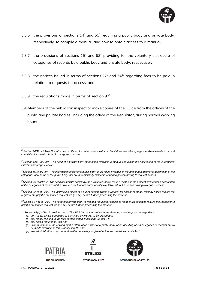

- *5.3.6 the provisions of sections 14<sup>5</sup> and 51<sup>6</sup> requiring a public body and private body, respectively, to compile a manual, and how to obtain access to a manual;*
- *5.3.7 the provisions of sections 15<sup>7</sup> and 52<sup>8</sup> providing for the voluntary disclosure of categories of records by a public body and private body, respectively;*
- *5.3.8 the notices issued in terms of sections 22<sup>9</sup> and 54<sup>10</sup> regarding fees to be paid in relation to requests for access; and*
- *5.3.9 the regulations made in terms of section 92<sup>11</sup> .*
- *5.4 Members of the public can inspect or make copies of the Guide from the offices of the public and private bodies, including the office of the Regulator, during normal working hours.*

- *(a) any matter which is required or permitted by this Act to be prescribed;*
- *(b) any matter relating to the fees contemplated in sections 22 and 54;*
- *(c) any notice required by this Act;*

*(e) any administrative or procedural matter necessary to give effect to the provisions of this Act."*







STELIOS GROUP NPC



*<sup>5</sup> Section 14(1) of PAIA- The information officer of a public body must, in at least three official languages, make available a manual containing information listed in paragraph 4 above.*

*<sup>6</sup> Section 51(1) of PAIA- The head of a private body must make available a manual containing the description of the information listed in paragraph 4 above.*

*<sup>7</sup> Section 15(1) of PAIA- The information officer of a public body, must make available in the prescribed manner a description of the categories of records of the public body that are automatically available without a person having to request access*

*<sup>8</sup> Section 52(1) of PAIA- The head of a private body may, on a voluntary basis, make available in the prescribed manner a description of the categories of records of the private body that are automatically available without a person having to request access*

*<sup>9</sup> Section 22(1) of PAIA- The information officer of a public body to whom a request for access is made, must by notice require the requester to pay the prescribed request fee (if any), before further processing the request.*

<sup>10</sup> *Section 54(1) of PAIA- The head of a private body to whom a request for access is made must by notice require the requester to pay the prescribed request fee (if any), before further processing the request.*

*<sup>11</sup> Section 92(1) of PAIA provides that –"The Minister may, by notice in the Gazette, make regulations regarding-*

*<sup>(</sup>d) uniform criteria to be applied by the information officer of a public body when deciding which categories of records are to be made available in terms of section 15; and*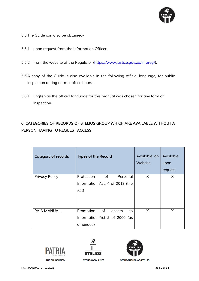

- *5.5 The Guide can also be obtained-*
- *5.5.1 upon request from the Information Officer;*
- 5.5.2 *from the website of the Regulator [\(https://www.justice.gov.za/inforeg/\)](https://www.justice.gov.za/inforeg/)*.
- *5.6 A copy of the Guide is also available in the following official language, for public inspection during normal office hours-*
- *5.6.1 English as the official language for this manual was chosen for any form of inspection.*

# *6. CATEGORIES OF RECORDS OF STELIOS GROUP WHICH ARE AVAILABLE WITHOUT A PERSON HAVING TO REQUEST ACCESS*

| Category of records   | <b>Types of the Record</b>                                                   | Available on<br>Website | Available<br>upon<br>request |
|-----------------------|------------------------------------------------------------------------------|-------------------------|------------------------------|
| <b>Privacy Policy</b> | of<br>Protection<br>Personal<br>Information Act, 4 of 2013 (the<br>Act)      | X                       | X                            |
| <b>PAIA MANUAL</b>    | Promotion<br>of<br>to<br>access<br>Information Act 2 of 2000 (as<br>amended) | X                       | X                            |





**STELIOS GROUP NPC** 

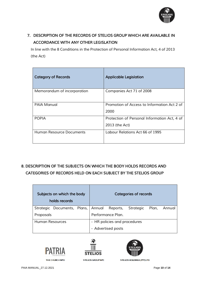

# *7. DESCRIPTION OF THE RECORDS OF STELIOS GROUP WHICH ARE AVAILABLE IN ACCORDANCE WITH ANY OTHER LEGISLATION*

*In line with the 8 Conditions in the Protection of Personal Information Act, 4 of 2013 (the Act)* 

| <b>Category of Records</b>  | <b>Applicable Legislation</b>                                  |
|-----------------------------|----------------------------------------------------------------|
| Memorandum of incorporation | Companies Act 71 of 2008                                       |
| <b>PAIA Manual</b>          | Promotion of Access to Information Act 2 of<br>2000            |
| <b>POPIA</b>                | Protection of Personal Information Act, 4 of<br>2013 (the Act) |
| Human Resource Documents    | Labour Relations Act 66 of 1995                                |

# *8. DESCRIPTION OF THE SUBJECTS ON WHICH THE BODY HOLDS RECORDS AND CATEGORIES OF RECORDS HELD ON EACH SUBJECT BY THE STELIOS GROUP*

| Subjects on which the body<br>holds records |                                                       |                              |                    |                   | <b>Categories of records</b> |              |
|---------------------------------------------|-------------------------------------------------------|------------------------------|--------------------|-------------------|------------------------------|--------------|
|                                             | Strategic Documents, Plans, Annual Reports, Strategic |                              |                    |                   |                              | Plan, Annual |
| Proposals                                   |                                                       |                              |                    | Performance Plan. |                              |              |
| Human Resources                             |                                                       | - HR policies and procedures |                    |                   |                              |              |
|                                             |                                                       |                              | - Advertised posts |                   |                              |              |





**STELIOS GROUP NPC** 

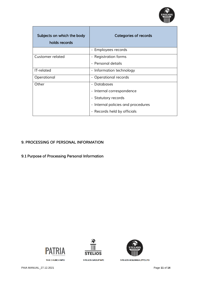

| Subjects on which the body<br>holds records | <b>Categories of records</b>       |
|---------------------------------------------|------------------------------------|
|                                             | - Employees records                |
| Customer related                            | - Registration forms               |
|                                             | - Personal details                 |
| IT-related                                  | - Information technology           |
| Operational                                 | - Operational records              |
| Other                                       | - Databases                        |
|                                             | - Internal correspondence          |
|                                             | - Statutory records                |
|                                             | - Internal policies and procedures |
|                                             | - Records held by officials        |

## *9. PROCESSING OF PERSONAL INFORMATION*

*9.1 Purpose of Processing Personal Information* 



THE CHURCH NPO





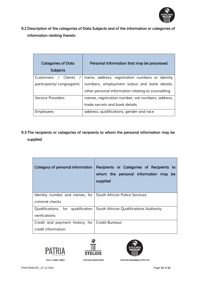

*9.2 Description of the categories of Data Subjects and of the information or categories of information relating thereto* 

| <b>Categories of Data</b><br><b>Subjects</b> | Personal Information that may be processed         |  |
|----------------------------------------------|----------------------------------------------------|--|
| / Clients<br>Customers                       | name, address, registration numbers or identity    |  |
| participants/congregants                     | numbers, employment status and bank details,       |  |
|                                              | other personal information relating to counselling |  |
| Service Providers                            | names, registration number, vat numbers, address,  |  |
|                                              | trade secrets and bank details                     |  |
| <b>Employees</b>                             | address, qualifications, gender and race           |  |

*9.3 The recipients or categories of recipients to whom the personal information may be supplied* 

| Category of personal information                             | Recipients or Categories of Recipients to<br>whom the personal information may be<br>supplied |
|--------------------------------------------------------------|-----------------------------------------------------------------------------------------------|
| Identity number and names, for South African Police Services |                                                                                               |
| criminal checks                                              |                                                                                               |
| Qualifications, for qualification                            | South African Qualifications Authority                                                        |
| verifications                                                |                                                                                               |
| Credit and payment history, for   Credit Bureaus             |                                                                                               |
| credit information                                           |                                                                                               |





**STELIOS GROUP NPC** 

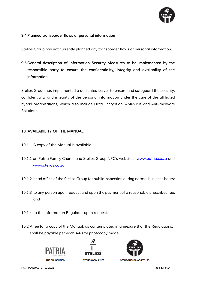

#### *9.4 Planned transborder flows of personal information*

*Stelios Group has not currently planned any transborder flows of personal information.* 

*9.5 General description of Information Security Measures to be implemented by the responsible party to ensure the confidentiality, integrity and availability of the information* 

*Stelios Group has implemented a dedicated server to ensure and safeguard the security, confidentiality and integrity of the personal information under the care of the affiliated hybrid organisations, which also include Data Encryption, Anti-virus and Anti-malware Solutions.*

#### *10. AVAILABILITY OF THE MANUAL*

- *10.1 A copy of the Manual is available-*
- *10.1.1 on Patria Family Church and Stelios Group NPC's websites ([www.patria.co.za](http://www.patria.co.za/) and [www.stelios.co.za](http://www.stelios.co.za/) );*
- *10.1.2 head office of the Stelios Group for public inspection during normal business hours;*
- *10.1.3 to any person upon request and upon the payment of a reasonable prescribed fee; and*
- *10.1.4 to the Information Regulator upon request.*
- *10.2 A fee for a copy of the Manual, as contemplated in annexure B of the Regulations, shall be payable per each A4-size photocopy made.*



THE CHURCH NPO



STELIOS GROUP NPC